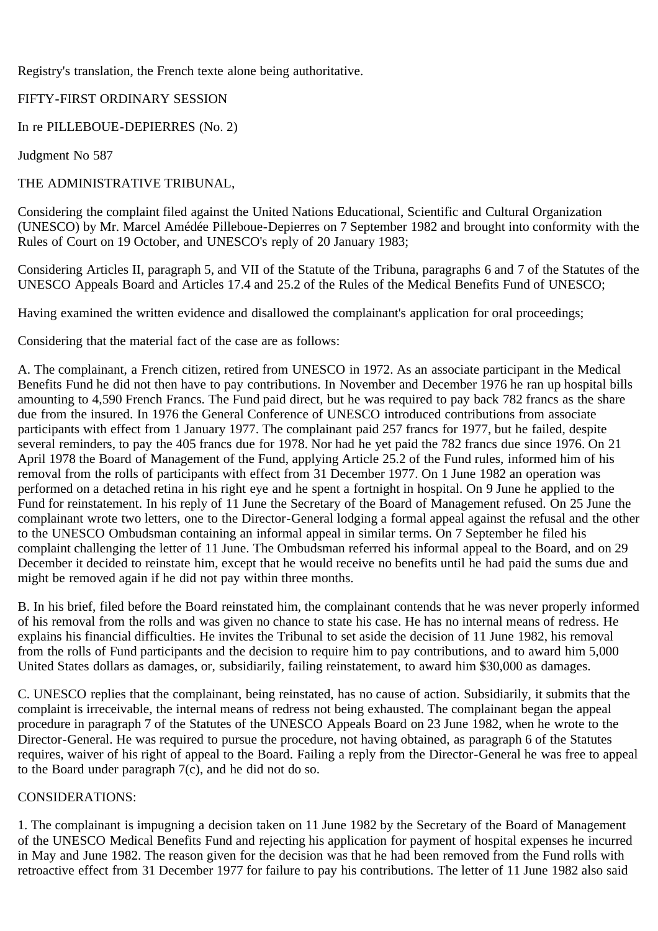Registry's translation, the French texte alone being authoritative.

## FIFTY-FIRST ORDINARY SESSION

In re PILLEBOUE-DEPIERRES (No. 2)

Judgment No 587

## THE ADMINISTRATIVE TRIBUNAL,

Considering the complaint filed against the United Nations Educational, Scientific and Cultural Organization (UNESCO) by Mr. Marcel Amédée Pilleboue-Depierres on 7 September 1982 and brought into conformity with the Rules of Court on 19 October, and UNESCO's reply of 20 January 1983;

Considering Articles II, paragraph 5, and VII of the Statute of the Tribuna, paragraphs 6 and 7 of the Statutes of the UNESCO Appeals Board and Articles 17.4 and 25.2 of the Rules of the Medical Benefits Fund of UNESCO;

Having examined the written evidence and disallowed the complainant's application for oral proceedings;

Considering that the material fact of the case are as follows:

A. The complainant, a French citizen, retired from UNESCO in 1972. As an associate participant in the Medical Benefits Fund he did not then have to pay contributions. In November and December 1976 he ran up hospital bills amounting to 4,590 French Francs. The Fund paid direct, but he was required to pay back 782 francs as the share due from the insured. In 1976 the General Conference of UNESCO introduced contributions from associate participants with effect from 1 January 1977. The complainant paid 257 francs for 1977, but he failed, despite several reminders, to pay the 405 francs due for 1978. Nor had he yet paid the 782 francs due since 1976. On 21 April 1978 the Board of Management of the Fund, applying Article 25.2 of the Fund rules, informed him of his removal from the rolls of participants with effect from 31 December 1977. On 1 June 1982 an operation was performed on a detached retina in his right eye and he spent a fortnight in hospital. On 9 June he applied to the Fund for reinstatement. In his reply of 11 June the Secretary of the Board of Management refused. On 25 June the complainant wrote two letters, one to the Director-General lodging a formal appeal against the refusal and the other to the UNESCO Ombudsman containing an informal appeal in similar terms. On 7 September he filed his complaint challenging the letter of 11 June. The Ombudsman referred his informal appeal to the Board, and on 29 December it decided to reinstate him, except that he would receive no benefits until he had paid the sums due and might be removed again if he did not pay within three months.

B. In his brief, filed before the Board reinstated him, the complainant contends that he was never properly informed of his removal from the rolls and was given no chance to state his case. He has no internal means of redress. He explains his financial difficulties. He invites the Tribunal to set aside the decision of 11 June 1982, his removal from the rolls of Fund participants and the decision to require him to pay contributions, and to award him 5,000 United States dollars as damages, or, subsidiarily, failing reinstatement, to award him \$30,000 as damages.

C. UNESCO replies that the complainant, being reinstated, has no cause of action. Subsidiarily, it submits that the complaint is irreceivable, the internal means of redress not being exhausted. The complainant began the appeal procedure in paragraph 7 of the Statutes of the UNESCO Appeals Board on 23 June 1982, when he wrote to the Director-General. He was required to pursue the procedure, not having obtained, as paragraph 6 of the Statutes requires, waiver of his right of appeal to the Board. Failing a reply from the Director-General he was free to appeal to the Board under paragraph 7(c), and he did not do so.

## CONSIDERATIONS:

1. The complainant is impugning a decision taken on 11 June 1982 by the Secretary of the Board of Management of the UNESCO Medical Benefits Fund and rejecting his application for payment of hospital expenses he incurred in May and June 1982. The reason given for the decision was that he had been removed from the Fund rolls with retroactive effect from 31 December 1977 for failure to pay his contributions. The letter of 11 June 1982 also said